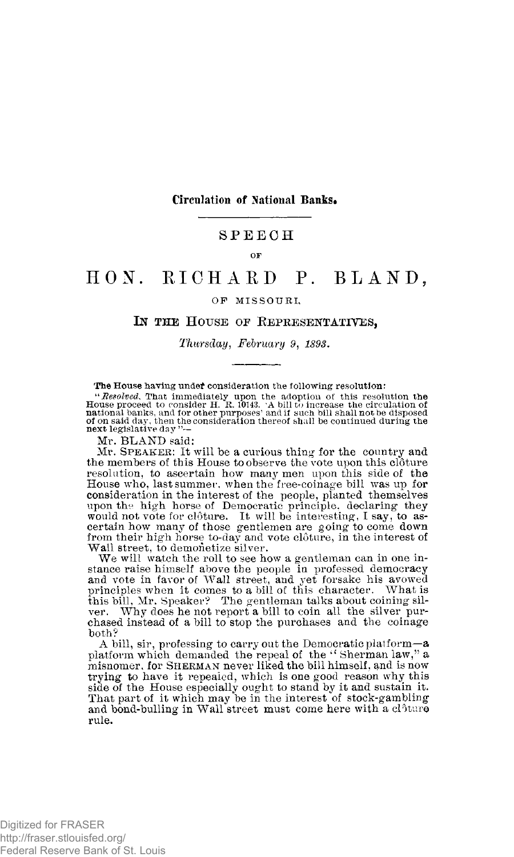### **Circulation of National Banks.**

## SPEEC H

### **OF**

# HON. RICHARD P. BLAND,

#### **OF MISSOURI ,**

## IN THE HOUSE OF REPRESENTATIVES,

#### *Thursday, February 9, 1893.*

#### **The House having undef consideration the following resolution:**

"Resolved. That immediately upon the adoption of this resolution the House proceed to consider H. R. 10143. 'A bill to increase the circulation of national banks, and for other purposes' and if such bill shall not be disp

Mr. BLAND said:

Mr. SPEAKER: It will be a curious thing for the country and the members of this House to observe the vote upon this clôture resolution, to ascertain how many men upon this side of the House who, last summer, when the free-coinage bill was up for consideration in the interest of the people, planted themselves upon the high horse of Democratic principle, declaring they would not vote for clôture. It will be interesting, I say, to as-<br>certain how many of those gentlemen are going to come down from their high horse to-day and vote cloture, in the interest of Wall street, to demonetize silver.

We will watch the roll to see how a gentleman can in one instance raise himself above the people in professed democracy and vote in favor of Wall street, and yet forsake his avowed principles when it comes to a bill of this character. What is this bill, Mr. Speaker? The gentleman talks about coining sil-ver. Why does he not report a bill to coin all the silver pur-chased instead of a bill to stop the purchases and the coinage both?

A bill, sir, professing to carry out the Democratic platform—a platform which demanded the repeal of the " Sherman law," a misnomer, for **SHERMAN** never liked the bill himself, and is now trying to have it repealed, which is one good reason why this side of the House especially ought to stand by it and sustain it. That part of it which may be in the interest of stock-gambling and bond-bulling in Wall street must come here with a clôture rule.

Digitized for FRASER http://fraser.stlouisfed.org/ Federal Reserve Bank of St. Louis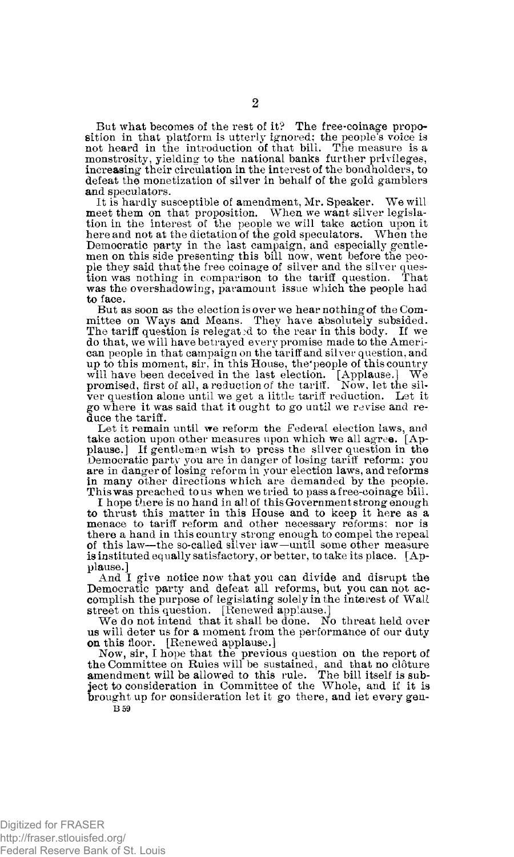But what becomes of the rest of it? The free-coinage proposition in that platform is utterly ignored; the people's voice is not heard in the introduction of that bill. The measure is a monstrosity, yielding to the national banks further privileges, increasing their circulation in the interest of the bondholders, to defeat the monetization of silver in behalf of the gold gamblers and speculators.

It is hardly susceptible of amendment, Mr. Speaker. We will meet them on that proposition. When we want silver legislation in the interest of the people we will take action upon it here and not at the dictation of the gold speculators. When the Democratic party in the last campaign, and especially gentle-men on this side presenting this bill now, went before the people they said that the free coinage of silver and the silver ques-tion was nothing in comparison to the tariff question. That was the overshadowing, paramount issue which the people had to face.

But as soon as the election is over we hear nothing of the Committee on Ways and Means. They have absolutely subsided. The tariff question is relegated to the rear in this body. If we do that, we will have betrayed every promise made to the American people in that campaign on the tariff and silver question, and up to this moment, sir, in this House, the'people of this country will have been deceived in the last election. [Applause.] We promised, first of all, a reduction of the tariff. Now, let the silver question alone until we get a little tariff reduction. Let it go where it was said that it ought to go until we revise and reduce the tariff.

Let it remain until we reform the Federal election laws, and take action upon other measures upon which we all agree. [Applause.] If gentlemen wish to press the silver question in the Democratic party you are in danger of losing tariff reform; you are in danger of losing reform in your election laws, and reforms in many other directions which are demanded by the people. This was preached to us when we tried to pass a free-coinage bill. I hope there is no hand in all of this Government strong enough

to thrust this matter in this House and to keep it here as a menace to tariff reform and other necessary reforms; nor is there a hand in this country strong enough to compel the repeal of this law—the so-called silver law—until some other measure is instituted equally satisfactory, or better, to take its place. [Applause.]

And I give notice now that you can divide and disrupt the Democratic party and defeat all reforms, but you can not ac-complish the purpose of legislating solely in the interest of Wall street on this question. [Renewed applause.]

We do not intend that it shall be done. No threat held over us will deter us for a moment from the performance of our duty on this floor. [Renewed applause.]

Now, sir, I hope that the previous question on the report of the Committee on Rules will be sustained, and that no clôture amendment will be allowed to this rule. The bill itself is sub-<br>ject to consideration in Committee brought up for consideration let it go there, and let every gen-

**B 59** 

Digitized for FRASER http://fraser.stlouisfed.org/ Federal Reserve Bank of St. Louis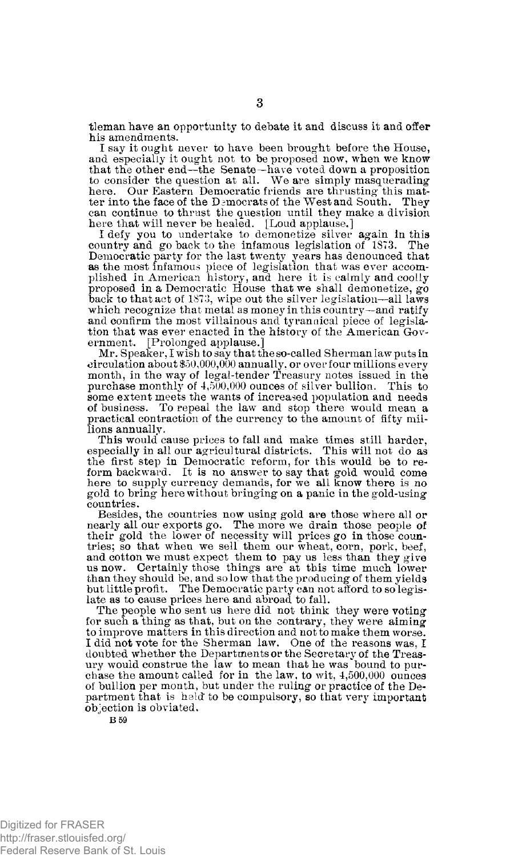tleman have an opportunity to debate it and discuss it and offer his amendments.

I say it ought never to have been brought before the House, and especially it ought not to be proposed now, when we know that the other end—the Senate—have voted down a proposition to consider the question at all. We are simply masquerading here. Our Eastern Democratic friends are thrusting this matter into the face of the Democrats of the West and South. They can continue to thrust the question until they make a division here that will never be healed. [Loud applause.]

I defy you to undertake to demonetize silver again in this country and go back to the infamous legislation of 1873. The Democratic party for the last twenty years has denounced that as the most infamous piece of legislation that was ever accom-plished in American history, and here it is calmly and coolly proposed in a Democratic House that we shall demonetize, go back to that act of 1873, wipe out the silver legislation—all laws which recognize that metal as money in this country—and ratify and confirm the most villainous and tyrannical piece of legislation that was ever enacted in the history of the American Government. [Prolonged applause.]

Mr. Speaker, I wish to say that the so-called Sherman law puts in  $\operatorname{circulation}$  about \$50,000,000 annually, or over four millions every month, in the way of legal-tender Treasury notes issued in the purchase monthly of 4,500,000 ounces of silver bullion. This to some extent meets the wants of increased population and needs of business. To repeal the law and stop there would mean a practical contraction of the currency to the amount of fifty millions annually.

This would cause prices to fall and make times still harder, especially in all our agricultural districts. This will not do as the first step in Democratic reform, for this would be to reform backward. It is no answer to say that gold would come here to supply currency demands, for we all know there is no gold to bring here without bringing on a panic in the gold-using countries.

Besides, the countries now using gold are those where all or nearly all our exports go. The more we drain those people of their gold the lower of necessity will prices go in those coun-tries; so that when we sell them our wheat, corn, pork, beef, and cotton we must expect them to pay us less than they give us now. Certainly those things are at this time much lower than they should be, and so low that the producing of them yields but little profit. The Democratic party can not afford to so legis-late as to cause prices here and abroad to fall.

The people who sent us here did not think they were voting for such a thing as that, but on the contrary, they were aiming to improve matters in this direction and not to make them worse. I did not vote for the Sherman law. One of the reasons was, I doubted whether the Departments or the Secretary of the Treasury would construe the law to mean that he was bound to purchase the amount called for in the law, to wit, 4,500,000 ounces of bullion per month, but under the ruling or practice of the Department that is held' to be compulsory, so that very important objection is obviated.

**B 59** 

**3**